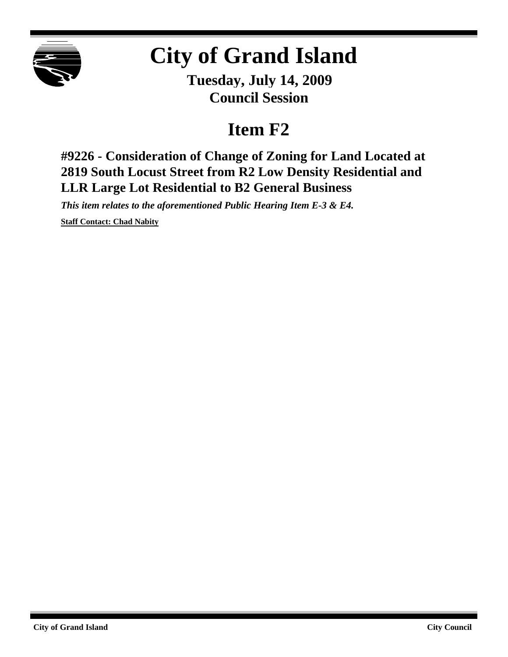

## **City of Grand Island**

**Tuesday, July 14, 2009 Council Session**

## **Item F2**

**#9226 - Consideration of Change of Zoning for Land Located at 2819 South Locust Street from R2 Low Density Residential and LLR Large Lot Residential to B2 General Business**

*This item relates to the aforementioned Public Hearing Item E-3 & E4.*

**Staff Contact: Chad Nabity**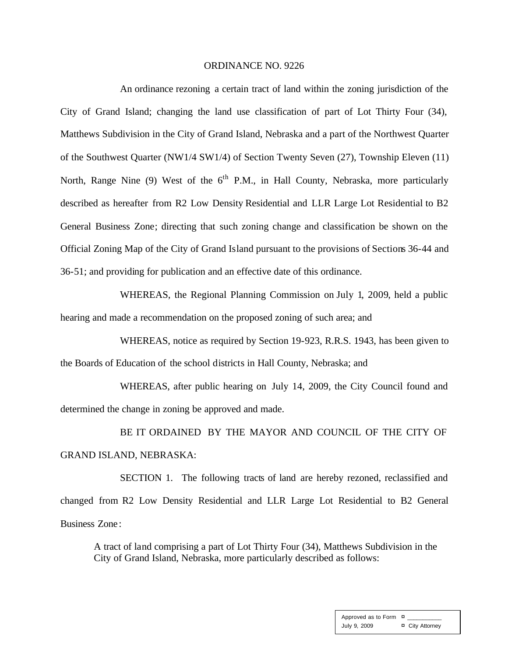## ORDINANCE NO. 9226

An ordinance rezoning a certain tract of land within the zoning jurisdiction of the City of Grand Island; changing the land use classification of part of Lot Thirty Four (34), Matthews Subdivision in the City of Grand Island, Nebraska and a part of the Northwest Quarter of the Southwest Quarter (NW1/4 SW1/4) of Section Twenty Seven (27), Township Eleven (11) North, Range Nine (9) West of the 6<sup>th</sup> P.M., in Hall County, Nebraska, more particularly described as hereafter from R2 Low Density Residential and LLR Large Lot Residential to B2 General Business Zone; directing that such zoning change and classification be shown on the Official Zoning Map of the City of Grand Island pursuant to the provisions of Sections 36-44 and 36-51; and providing for publication and an effective date of this ordinance.

WHEREAS, the Regional Planning Commission on July 1, 2009, held a public hearing and made a recommendation on the proposed zoning of such area; and

WHEREAS, notice as required by Section 19-923, R.R.S. 1943, has been given to the Boards of Education of the school districts in Hall County, Nebraska; and

WHEREAS, after public hearing on July 14, 2009, the City Council found and determined the change in zoning be approved and made.

BE IT ORDAINED BY THE MAYOR AND COUNCIL OF THE CITY OF GRAND ISLAND, NEBRASKA:

SECTION 1. The following tracts of land are hereby rezoned, reclassified and changed from R2 Low Density Residential and LLR Large Lot Residential to B2 General Business Zone:

A tract of land comprising a part of Lot Thirty Four (34), Matthews Subdivision in the City of Grand Island, Nebraska, more particularly described as follows: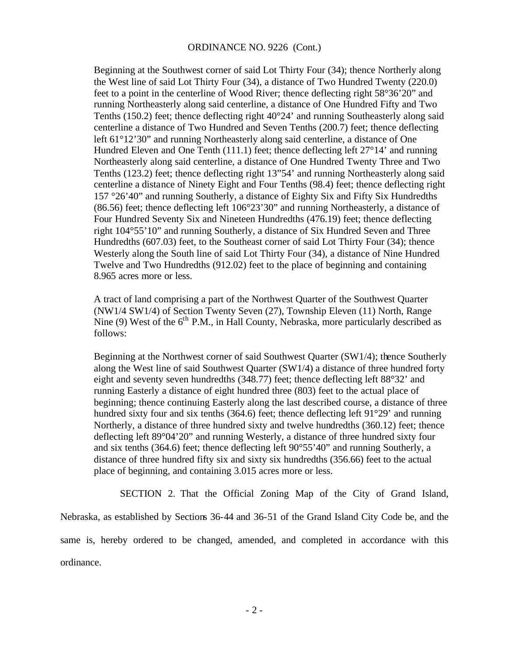Beginning at the Southwest corner of said Lot Thirty Four (34); thence Northerly along the West line of said Lot Thirty Four (34), a distance of Two Hundred Twenty (220.0) feet to a point in the centerline of Wood River; thence deflecting right 58°36'20" and running Northeasterly along said centerline, a distance of One Hundred Fifty and Two Tenths (150.2) feet; thence deflecting right  $40^{\circ}24'$  and running Southeasterly along said centerline a distance of Two Hundred and Seven Tenths (200.7) feet; thence deflecting left 61°12'30" and running Northeasterly along said centerline, a distance of One Hundred Eleven and One Tenth (111.1) feet; thence deflecting left 27°14' and running Northeasterly along said centerline, a distance of One Hundred Twenty Three and Two Tenths (123.2) feet; thence deflecting right 13"54' and running Northeasterly along said centerline a distance of Ninety Eight and Four Tenths (98.4) feet; thence deflecting right 157 °26'40" and running Southerly, a distance of Eighty Six and Fifty Six Hundredths (86.56) feet; thence deflecting left 106°23'30" and running Northeasterly, a distance of Four Hundred Seventy Six and Nineteen Hundredths (476.19) feet; thence deflecting right 104°55'10" and running Southerly, a distance of Six Hundred Seven and Three Hundredths (607.03) feet, to the Southeast corner of said Lot Thirty Four (34); thence Westerly along the South line of said Lot Thirty Four (34), a distance of Nine Hundred Twelve and Two Hundredths (912.02) feet to the place of beginning and containing 8.965 acres more or less.

A tract of land comprising a part of the Northwest Quarter of the Southwest Quarter (NW1/4 SW1/4) of Section Twenty Seven (27), Township Eleven (11) North, Range Nine (9) West of the  $6<sup>th</sup>$  P.M., in Hall County, Nebraska, more particularly described as follows:

Beginning at the Northwest corner of said Southwest Quarter (SW1/4); thence Southerly along the West line of said Southwest Quarter (SW1/4) a distance of three hundred forty eight and seventy seven hundredths (348.77) feet; thence deflecting left 88°32' and running Easterly a distance of eight hundred three (803) feet to the actual place of beginning; thence continuing Easterly along the last described course, a distance of three hundred sixty four and six tenths (364.6) feet; thence deflecting left 91°29' and running Northerly, a distance of three hundred sixty and twelve hundredths (360.12) feet; thence deflecting left 89°04'20" and running Westerly, a distance of three hundred sixty four and six tenths (364.6) feet; thence deflecting left 90°55'40" and running Southerly, a distance of three hundred fifty six and sixty six hundredths (356.66) feet to the actual place of beginning, and containing 3.015 acres more or less.

SECTION 2. That the Official Zoning Map of the City of Grand Island, Nebraska, as established by Sections 36-44 and 36-51 of the Grand Island City Code be, and the same is, hereby ordered to be changed, amended, and completed in accordance with this ordinance.